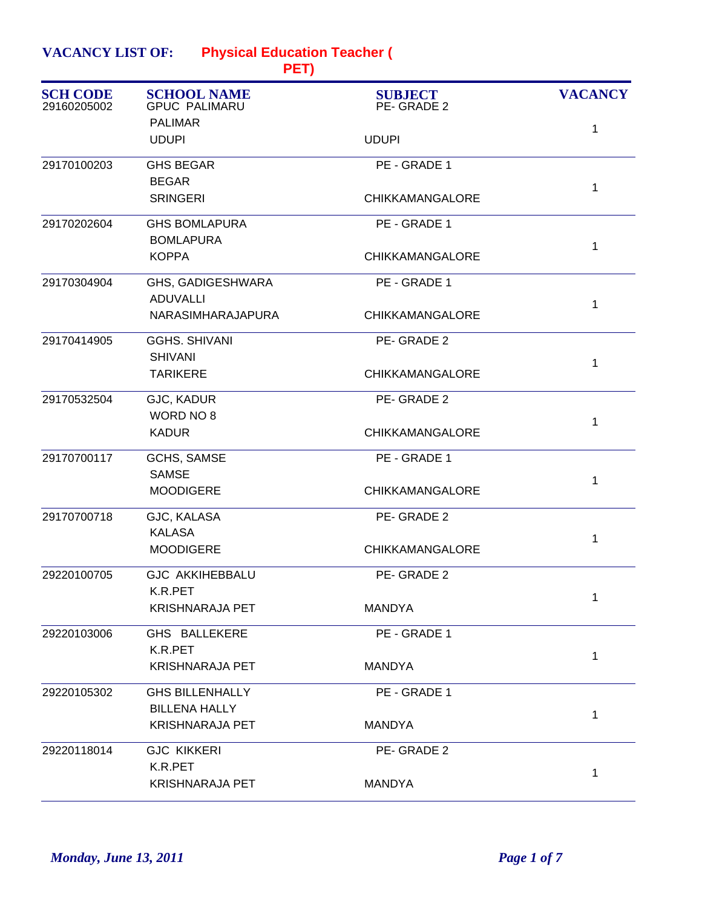| <b>VACANCY LIST OF:</b><br><b>Physical Education Teacher (</b><br>PET) |                                                |                              |                |
|------------------------------------------------------------------------|------------------------------------------------|------------------------------|----------------|
| <b>SCH CODE</b><br>29160205002                                         | <b>SCHOOL NAME</b><br><b>GPUC PALIMARU</b>     | <b>SUBJECT</b><br>PE-GRADE 2 | <b>VACANCY</b> |
|                                                                        | <b>PALIMAR</b><br><b>UDUPI</b>                 | <b>UDUPI</b>                 | 1              |
| 29170100203                                                            | <b>GHS BEGAR</b><br><b>BEGAR</b>               | PE - GRADE 1                 |                |
|                                                                        | <b>SRINGERI</b>                                | <b>CHIKKAMANGALORE</b>       | 1              |
| 29170202604                                                            | <b>GHS BOMLAPURA</b><br><b>BOMLAPURA</b>       | PE - GRADE 1                 | 1              |
|                                                                        | <b>KOPPA</b>                                   | <b>CHIKKAMANGALORE</b>       |                |
| 29170304904                                                            | GHS, GADIGESHWARA<br><b>ADUVALLI</b>           | PE - GRADE 1                 | 1              |
|                                                                        | NARASIMHARAJAPURA                              | <b>CHIKKAMANGALORE</b>       |                |
| 29170414905                                                            | <b>GGHS. SHIVANI</b><br><b>SHIVANI</b>         | PE-GRADE 2                   | 1              |
|                                                                        | <b>TARIKERE</b>                                | <b>CHIKKAMANGALORE</b>       |                |
| 29170532504                                                            | GJC, KADUR<br>WORD NO 8                        | PE-GRADE 2                   | 1              |
|                                                                        | <b>KADUR</b>                                   | <b>CHIKKAMANGALORE</b>       |                |
| 29170700117                                                            | GCHS, SAMSE<br><b>SAMSE</b>                    | PE - GRADE 1                 | 1              |
|                                                                        | <b>MOODIGERE</b>                               | <b>CHIKKAMANGALORE</b>       |                |
| 29170700718                                                            | GJC, KALASA<br><b>KALASA</b>                   | PE-GRADE 2                   | 1              |
|                                                                        | <b>MOODIGERE</b>                               | <b>CHIKKAMANGALORE</b>       |                |
| 29220100705                                                            | <b>GJC AKKIHEBBALU</b><br>K.R.PET              | PE-GRADE 2                   | 1              |
|                                                                        | <b>KRISHNARAJA PET</b>                         | MANDYA                       |                |
| 29220103006                                                            | GHS BALLEKERE<br>K.R.PET                       | PE - GRADE 1                 | 1              |
|                                                                        | <b>KRISHNARAJA PET</b>                         | MANDYA                       |                |
| 29220105302                                                            | <b>GHS BILLENHALLY</b><br><b>BILLENA HALLY</b> | PE - GRADE 1                 |                |
|                                                                        | <b>KRISHNARAJA PET</b>                         | <b>MANDYA</b>                | 1              |
| 29220118014                                                            | <b>GJC KIKKERI</b><br>K.R.PET                  | PE-GRADE 2                   |                |
|                                                                        | <b>KRISHNARAJA PET</b>                         | <b>MANDYA</b>                | 1              |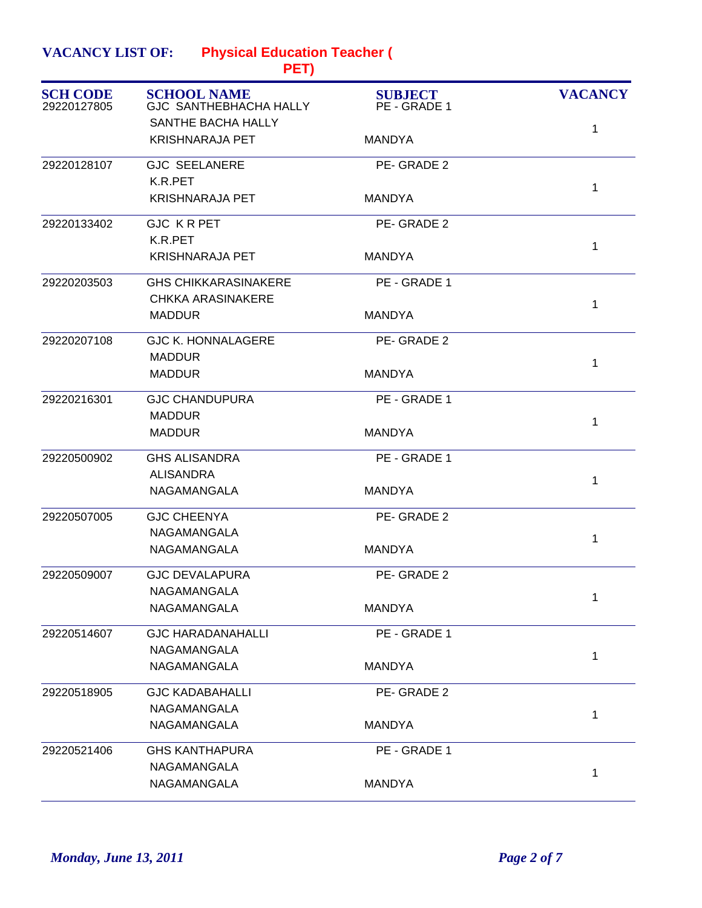| <b>VACANCY LIST OF:</b> | <b>Physical Education Teacher (</b> |
|-------------------------|-------------------------------------|
|                         | PET)                                |

|             | SANTHE BACHA HALLY<br><b>KRISHNARAJA PET</b> |               |              |
|-------------|----------------------------------------------|---------------|--------------|
|             |                                              |               | 1            |
|             |                                              | <b>MANDYA</b> |              |
| 29220128107 | <b>GJC SEELANERE</b>                         | PE-GRADE 2    |              |
|             | K.R.PET                                      |               | $\mathbf{1}$ |
|             | <b>KRISHNARAJA PET</b>                       | <b>MANDYA</b> |              |
| 29220133402 | <b>GJC KRPET</b>                             | PE-GRADE 2    |              |
|             | K.R.PET                                      |               | 1            |
|             | <b>KRISHNARAJA PET</b>                       | <b>MANDYA</b> |              |
| 29220203503 | <b>GHS CHIKKARASINAKERE</b>                  | PE - GRADE 1  |              |
|             | <b>CHKKA ARASINAKERE</b>                     |               | $\mathbf{1}$ |
|             | <b>MADDUR</b>                                | <b>MANDYA</b> |              |
| 29220207108 | <b>GJC K. HONNALAGERE</b>                    | PE-GRADE 2    |              |
|             | <b>MADDUR</b>                                |               | $\mathbf{1}$ |
|             | <b>MADDUR</b>                                | <b>MANDYA</b> |              |
| 29220216301 | <b>GJC CHANDUPURA</b>                        | PE - GRADE 1  |              |
|             | <b>MADDUR</b>                                |               | $\mathbf 1$  |
|             | <b>MADDUR</b>                                | <b>MANDYA</b> |              |
| 29220500902 | <b>GHS ALISANDRA</b>                         | PE - GRADE 1  |              |
|             | <b>ALISANDRA</b>                             |               | 1            |
|             | NAGAMANGALA                                  | <b>MANDYA</b> |              |
| 29220507005 | <b>GJC CHEENYA</b>                           | PE-GRADE 2    |              |
|             | NAGAMANGALA                                  |               | $\mathbf{1}$ |
|             | NAGAMANGALA                                  | <b>MANDYA</b> |              |
| 29220509007 | <b>GJC DEVALAPURA</b>                        | PE-GRADE 2    |              |
|             | NAGAMANGALA                                  |               | 1            |
|             | NAGAMANGALA                                  | <b>MANDYA</b> |              |
| 29220514607 | <b>GJC HARADANAHALLI</b>                     | PE - GRADE 1  |              |
|             | NAGAMANGALA                                  |               | $\mathbf{1}$ |
|             | NAGAMANGALA                                  | <b>MANDYA</b> |              |
| 29220518905 | <b>GJC KADABAHALLI</b>                       | PE-GRADE 2    |              |
|             | NAGAMANGALA                                  |               | 1            |
|             | NAGAMANGALA                                  | <b>MANDYA</b> |              |
| 29220521406 | <b>GHS KANTHAPURA</b>                        | PE - GRADE 1  |              |
|             | NAGAMANGALA                                  |               | 1            |
|             | NAGAMANGALA                                  | <b>MANDYA</b> |              |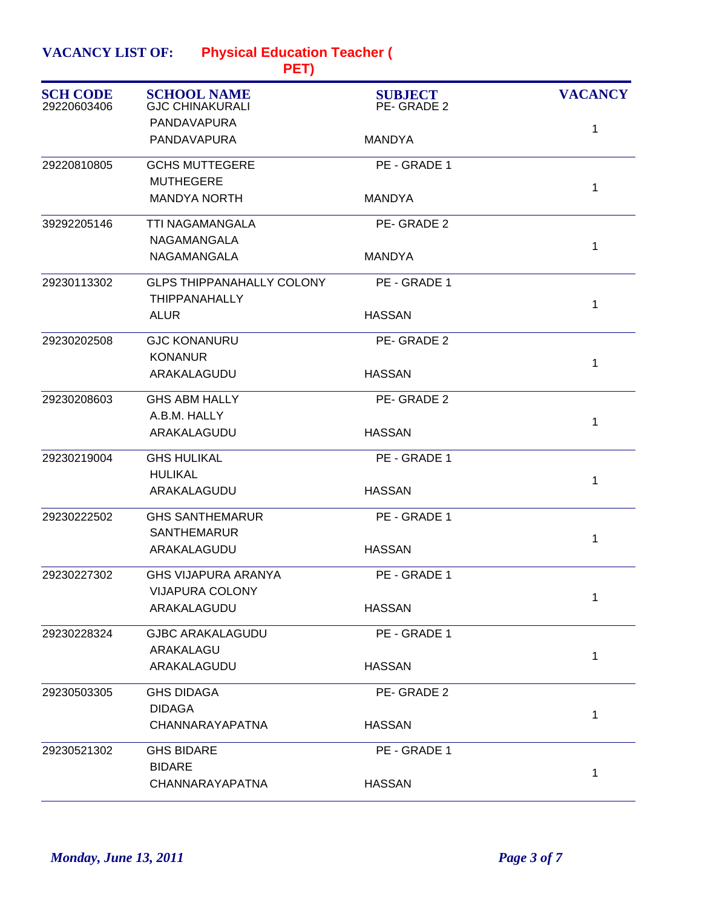| <b>VACANCY LIST OF:</b> | <b>Physical Education Teacher (</b> |
|-------------------------|-------------------------------------|
|                         |                                     |

| <b>SCH CODE</b><br>29220603406 | <b>SCHOOL NAME</b><br><b>GJC CHINAKURALI</b> | <b>SUBJECT</b><br>PE-GRADE 2 | <b>VACANCY</b> |
|--------------------------------|----------------------------------------------|------------------------------|----------------|
|                                | PANDAVAPURA                                  |                              | 1              |
|                                | PANDAVAPURA                                  | <b>MANDYA</b>                |                |
| 29220810805                    | <b>GCHS MUTTEGERE</b>                        | PE - GRADE 1                 |                |
|                                | <b>MUTHEGERE</b>                             |                              | $\mathbf 1$    |
|                                | <b>MANDYA NORTH</b>                          | MANDYA                       |                |
| 39292205146                    | <b>TTI NAGAMANGALA</b>                       | PE-GRADE 2                   |                |
|                                | NAGAMANGALA                                  |                              | 1              |
|                                | NAGAMANGALA                                  | <b>MANDYA</b>                |                |
| 29230113302                    | <b>GLPS THIPPANAHALLY COLONY</b>             | PE - GRADE 1                 |                |
|                                | <b>THIPPANAHALLY</b>                         |                              | $\mathbf{1}$   |
|                                | <b>ALUR</b>                                  | <b>HASSAN</b>                |                |
| 29230202508                    | <b>GJC KONANURU</b>                          | PE-GRADE 2                   |                |
|                                | <b>KONANUR</b>                               |                              | $\mathbf 1$    |
|                                | ARAKALAGUDU                                  | <b>HASSAN</b>                |                |
| 29230208603                    | <b>GHS ABM HALLY</b>                         | PE-GRADE 2                   |                |
|                                | A.B.M. HALLY                                 |                              | 1              |
|                                | ARAKALAGUDU                                  | <b>HASSAN</b>                |                |
| 29230219004                    | <b>GHS HULIKAL</b>                           | PE - GRADE 1                 |                |
|                                | <b>HULIKAL</b>                               |                              | 1              |
|                                | ARAKALAGUDU                                  | <b>HASSAN</b>                |                |
| 29230222502                    | <b>GHS SANTHEMARUR</b>                       | PE - GRADE 1                 |                |
|                                | <b>SANTHEMARUR</b>                           |                              | $\mathbf{1}$   |
|                                | ARAKALAGUDU                                  | <b>HASSAN</b>                |                |
| 29230227302                    | <b>GHS VIJAPURA ARANYA</b>                   | PE - GRADE 1                 |                |
|                                | <b>VIJAPURA COLONY</b>                       |                              | 1              |
|                                | ARAKALAGUDU                                  | <b>HASSAN</b>                |                |
| 29230228324                    | <b>GJBC ARAKALAGUDU</b>                      | PE - GRADE 1                 |                |
|                                | ARAKALAGU                                    |                              | $\mathbf{1}$   |
|                                | ARAKALAGUDU                                  | <b>HASSAN</b>                |                |
| 29230503305                    | <b>GHS DIDAGA</b>                            | PE-GRADE 2                   |                |
|                                | <b>DIDAGA</b>                                |                              | $\mathbf 1$    |
|                                | CHANNARAYAPATNA                              | <b>HASSAN</b>                |                |
| 29230521302                    | <b>GHS BIDARE</b>                            | PE - GRADE 1                 |                |
|                                | <b>BIDARE</b>                                |                              | $\mathbf 1$    |
|                                | CHANNARAYAPATNA                              | <b>HASSAN</b>                |                |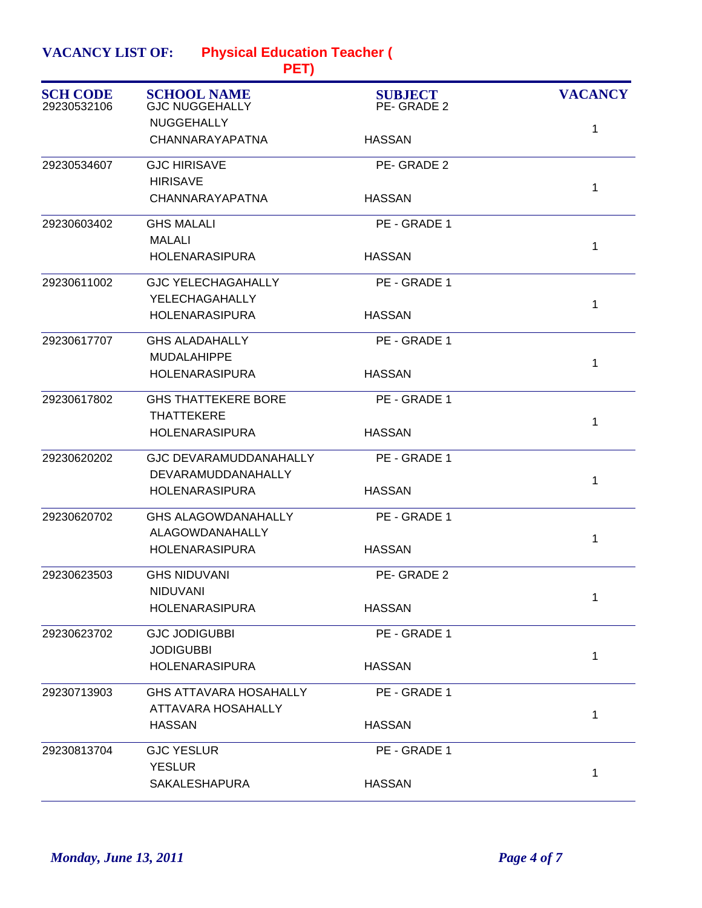**Physical Education Teacher ( VACANCY LIST OF:**

| <b>SCH CODE</b><br>29230532106 | <b>SCHOOL NAME</b><br><b>GJC NUGGEHALLY</b> | <b>SUBJECT</b><br>PE-GRADE 2 | <b>VACANCY</b> |
|--------------------------------|---------------------------------------------|------------------------------|----------------|
|                                | <b>NUGGEHALLY</b>                           |                              | 1              |
|                                | CHANNARAYAPATNA                             | <b>HASSAN</b>                |                |
| 29230534607                    | <b>GJC HIRISAVE</b>                         | PE-GRADE 2                   |                |
|                                | <b>HIRISAVE</b>                             |                              | 1              |
|                                | CHANNARAYAPATNA                             | <b>HASSAN</b>                |                |
| 29230603402                    | <b>GHS MALALI</b>                           | PE - GRADE 1                 |                |
|                                | <b>MALALI</b>                               |                              | 1              |
|                                | <b>HOLENARASIPURA</b>                       | <b>HASSAN</b>                |                |
| 29230611002                    | <b>GJC YELECHAGAHALLY</b>                   | PE - GRADE 1                 |                |
|                                | YELECHAGAHALLY                              |                              | 1              |
|                                | <b>HOLENARASIPURA</b>                       | <b>HASSAN</b>                |                |
| 29230617707                    | <b>GHS ALADAHALLY</b>                       | PE - GRADE 1                 |                |
|                                | <b>MUDALAHIPPE</b>                          |                              | $\mathbf{1}$   |
|                                | <b>HOLENARASIPURA</b>                       | <b>HASSAN</b>                |                |
| 29230617802                    | <b>GHS THATTEKERE BORE</b>                  | PE - GRADE 1                 |                |
|                                | <b>THATTEKERE</b>                           |                              | 1              |
|                                | <b>HOLENARASIPURA</b>                       | <b>HASSAN</b>                |                |
| 29230620202                    | <b>GJC DEVARAMUDDANAHALLY</b>               | PE - GRADE 1                 |                |
|                                | DEVARAMUDDANAHALLY                          |                              | 1              |
|                                | <b>HOLENARASIPURA</b>                       | <b>HASSAN</b>                |                |
| 29230620702                    | <b>GHS ALAGOWDANAHALLY</b>                  | PE - GRADE 1                 |                |
|                                | ALAGOWDANAHALLY                             |                              | $\mathbf{1}$   |
|                                | <b>HOLENARASIPURA</b>                       | <b>HASSAN</b>                |                |
| 29230623503                    | <b>GHS NIDUVANI</b>                         | PE-GRADE 2                   |                |
|                                | NIDUVANI                                    |                              | 1              |
|                                | <b>HOLENARASIPURA</b>                       | <b>HASSAN</b>                |                |
| 29230623702                    | <b>GJC JODIGUBBI</b>                        | PE - GRADE 1                 |                |
|                                | <b>JODIGUBBI</b>                            |                              | $\mathbf{1}$   |
|                                | <b>HOLENARASIPURA</b>                       | <b>HASSAN</b>                |                |
| 29230713903                    | <b>GHS ATTAVARA HOSAHALLY</b>               | PE - GRADE 1                 |                |
|                                | ATTAVARA HOSAHALLY                          |                              | $\mathbf 1$    |
|                                | <b>HASSAN</b>                               | <b>HASSAN</b>                |                |
| 29230813704                    | <b>GJC YESLUR</b>                           | PE - GRADE 1                 |                |
|                                | <b>YESLUR</b>                               |                              | $\mathbf{1}$   |
|                                | SAKALESHAPURA                               | <b>HASSAN</b>                |                |
|                                |                                             |                              |                |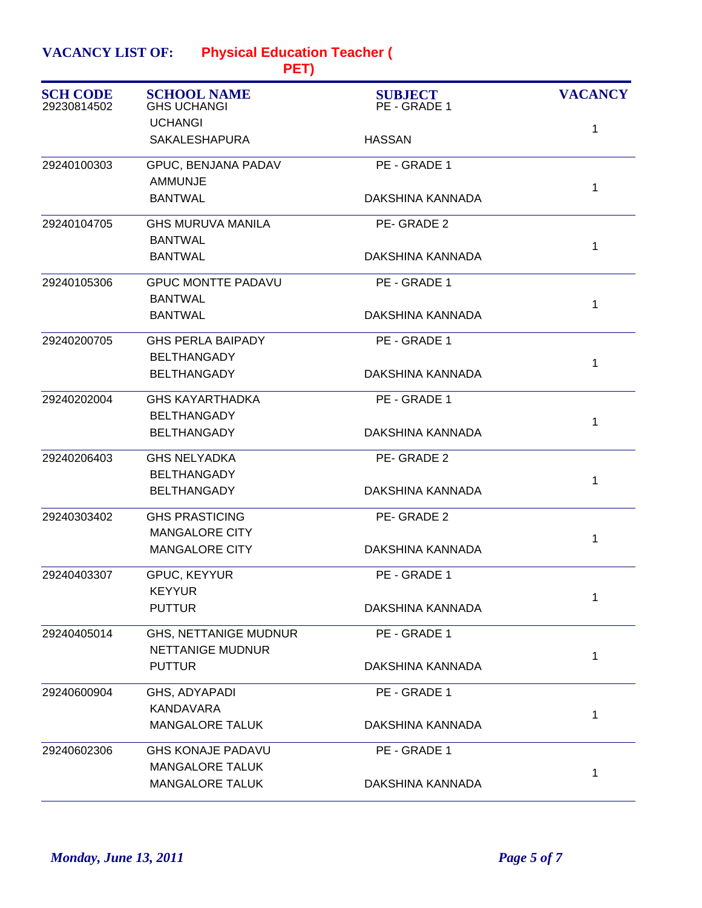**Physical Education Teacher ( VACANCY LIST OF:**

| <b>SCH CODE</b><br>29230814502 | <b>SCHOOL NAME</b><br><b>GHS UCHANGI</b> | <b>SUBJECT</b><br>PE - GRADE 1 | <b>VACANCY</b> |
|--------------------------------|------------------------------------------|--------------------------------|----------------|
|                                | <b>UCHANGI</b>                           |                                | 1              |
|                                | <b>SAKALESHAPURA</b>                     | <b>HASSAN</b>                  |                |
| 29240100303                    | GPUC, BENJANA PADAV                      | PE - GRADE 1                   |                |
|                                | <b>AMMUNJE</b>                           |                                | 1              |
|                                | <b>BANTWAL</b>                           | DAKSHINA KANNADA               |                |
| 29240104705                    | <b>GHS MURUVA MANILA</b>                 | PE-GRADE 2                     |                |
|                                | <b>BANTWAL</b>                           |                                | 1              |
|                                | <b>BANTWAL</b>                           | DAKSHINA KANNADA               |                |
| 29240105306                    | <b>GPUC MONTTE PADAVU</b>                | PE - GRADE 1                   |                |
|                                | <b>BANTWAL</b>                           |                                | $\mathbf{1}$   |
|                                | <b>BANTWAL</b>                           | DAKSHINA KANNADA               |                |
| 29240200705                    | <b>GHS PERLA BAIPADY</b>                 | PE - GRADE 1                   |                |
|                                | <b>BELTHANGADY</b>                       |                                | 1              |
|                                | <b>BELTHANGADY</b>                       | DAKSHINA KANNADA               |                |
| 29240202004                    | <b>GHS KAYARTHADKA</b>                   | PE - GRADE 1                   |                |
|                                | <b>BELTHANGADY</b>                       |                                | 1              |
|                                | <b>BELTHANGADY</b>                       | DAKSHINA KANNADA               |                |
| 29240206403                    | <b>GHS NELYADKA</b>                      | PE-GRADE 2                     |                |
|                                | <b>BELTHANGADY</b>                       |                                | 1              |
|                                | <b>BELTHANGADY</b>                       | DAKSHINA KANNADA               |                |
| 29240303402                    | <b>GHS PRASTICING</b>                    | PE-GRADE 2                     |                |
|                                | <b>MANGALORE CITY</b>                    |                                | 1              |
|                                | <b>MANGALORE CITY</b>                    | DAKSHINA KANNADA               |                |
| 29240403307                    | GPUC, KEYYUR                             | PE - GRADE 1                   |                |
|                                | <b>KEYYUR</b>                            |                                | 1              |
|                                | <b>PUTTUR</b>                            | DAKSHINA KANNADA               |                |
| 29240405014                    | <b>GHS, NETTANIGE MUDNUR</b>             | PE - GRADE 1                   |                |
|                                | <b>NETTANIGE MUDNUR</b>                  |                                | 1              |
|                                | <b>PUTTUR</b>                            | DAKSHINA KANNADA               |                |
| 29240600904                    | GHS, ADYAPADI                            | PE - GRADE 1                   |                |
|                                | KANDAVARA                                |                                | 1              |
|                                | <b>MANGALORE TALUK</b>                   | DAKSHINA KANNADA               |                |
| 29240602306                    | <b>GHS KONAJE PADAVU</b>                 | PE - GRADE 1                   |                |
|                                | <b>MANGALORE TALUK</b>                   |                                | 1              |
|                                | <b>MANGALORE TALUK</b>                   | DAKSHINA KANNADA               |                |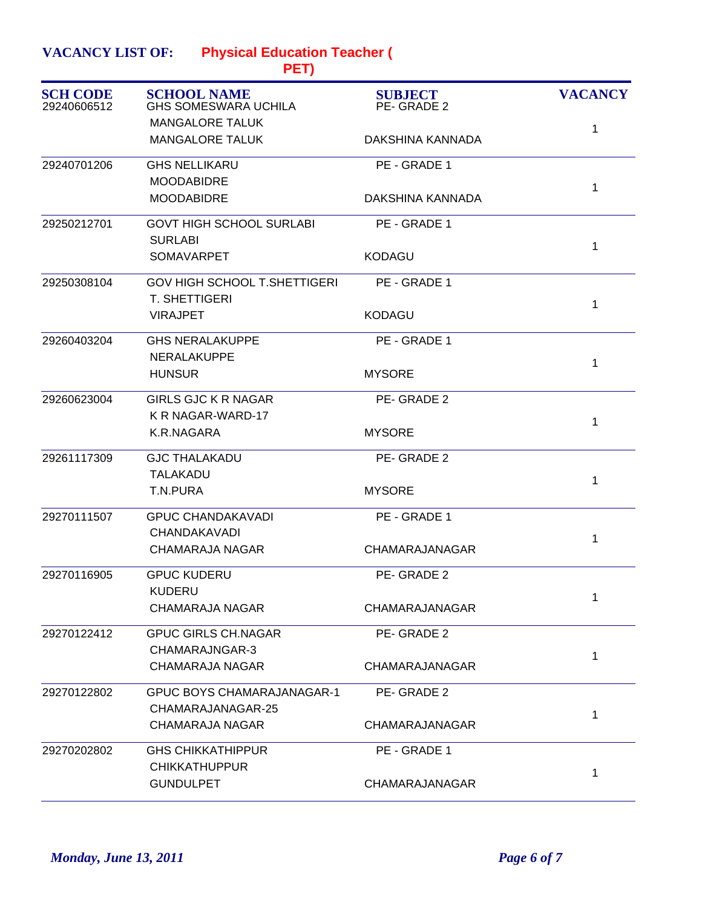| <b>VACANCY LIST OF:</b> | <b>Physical Education Teacher (</b> |
|-------------------------|-------------------------------------|
|                         |                                     |

| <b>SCH CODE</b><br>29240606512 | <b>SCHOOL NAME</b><br><b>GHS SOMESWARA UCHILA</b> | <b>SUBJECT</b><br>PE-GRADE 2 | <b>VACANCY</b> |
|--------------------------------|---------------------------------------------------|------------------------------|----------------|
|                                | <b>MANGALORE TALUK</b>                            |                              | 1              |
|                                | <b>MANGALORE TALUK</b>                            | DAKSHINA KANNADA             |                |
| 29240701206                    | <b>GHS NELLIKARU</b>                              | PE - GRADE 1                 |                |
|                                | <b>MOODABIDRE</b>                                 |                              | $\mathbf{1}$   |
|                                | <b>MOODABIDRE</b>                                 | DAKSHINA KANNADA             |                |
| 29250212701                    | <b>GOVT HIGH SCHOOL SURLABI</b>                   | PE - GRADE 1                 |                |
|                                | <b>SURLABI</b>                                    |                              | 1              |
|                                | <b>SOMAVARPET</b>                                 | <b>KODAGU</b>                |                |
| 29250308104                    | <b>GOV HIGH SCHOOL T.SHETTIGERI</b>               | PE - GRADE 1                 |                |
|                                | T. SHETTIGERI                                     |                              | 1              |
|                                | <b>VIRAJPET</b>                                   | <b>KODAGU</b>                |                |
| 29260403204                    | <b>GHS NERALAKUPPE</b>                            | PE - GRADE 1                 |                |
|                                | <b>NERALAKUPPE</b>                                |                              | 1              |
|                                | <b>HUNSUR</b>                                     | <b>MYSORE</b>                |                |
| 29260623004                    | <b>GIRLS GJC K R NAGAR</b>                        | PE-GRADE 2                   |                |
|                                | K R NAGAR-WARD-17                                 |                              | $\mathbf{1}$   |
|                                | K.R.NAGARA                                        | <b>MYSORE</b>                |                |
| 29261117309                    | <b>GJC THALAKADU</b>                              | PE-GRADE 2                   |                |
|                                | TALAKADU                                          |                              | 1              |
|                                | T.N.PURA                                          | <b>MYSORE</b>                |                |
| 29270111507                    | <b>GPUC CHANDAKAVADI</b>                          | PE - GRADE 1                 |                |
|                                | <b>CHANDAKAVADI</b>                               |                              | $\mathbf{1}$   |
|                                | <b>CHAMARAJA NAGAR</b>                            | CHAMARAJANAGAR               |                |
| 29270116905                    | <b>GPUC KUDERU</b>                                | PE-GRADE 2                   |                |
|                                | KUDERU                                            |                              | 1              |
|                                | CHAMARAJA NAGAR                                   | CHAMARAJANAGAR               |                |
| 29270122412                    | <b>GPUC GIRLS CH.NAGAR</b>                        | PE-GRADE 2                   |                |
|                                | CHAMARAJNGAR-3                                    |                              | 1              |
|                                | <b>CHAMARAJA NAGAR</b>                            | CHAMARAJANAGAR               |                |
| 29270122802                    | <b>GPUC BOYS CHAMARAJANAGAR-1</b>                 | PE-GRADE 2                   |                |
|                                | CHAMARAJANAGAR-25                                 |                              | 1              |
|                                | <b>CHAMARAJA NAGAR</b>                            | CHAMARAJANAGAR               |                |
| 29270202802                    | <b>GHS CHIKKATHIPPUR</b>                          | PE - GRADE 1                 |                |
|                                | <b>CHIKKATHUPPUR</b>                              |                              | 1              |
|                                | <b>GUNDULPET</b>                                  | CHAMARAJANAGAR               |                |